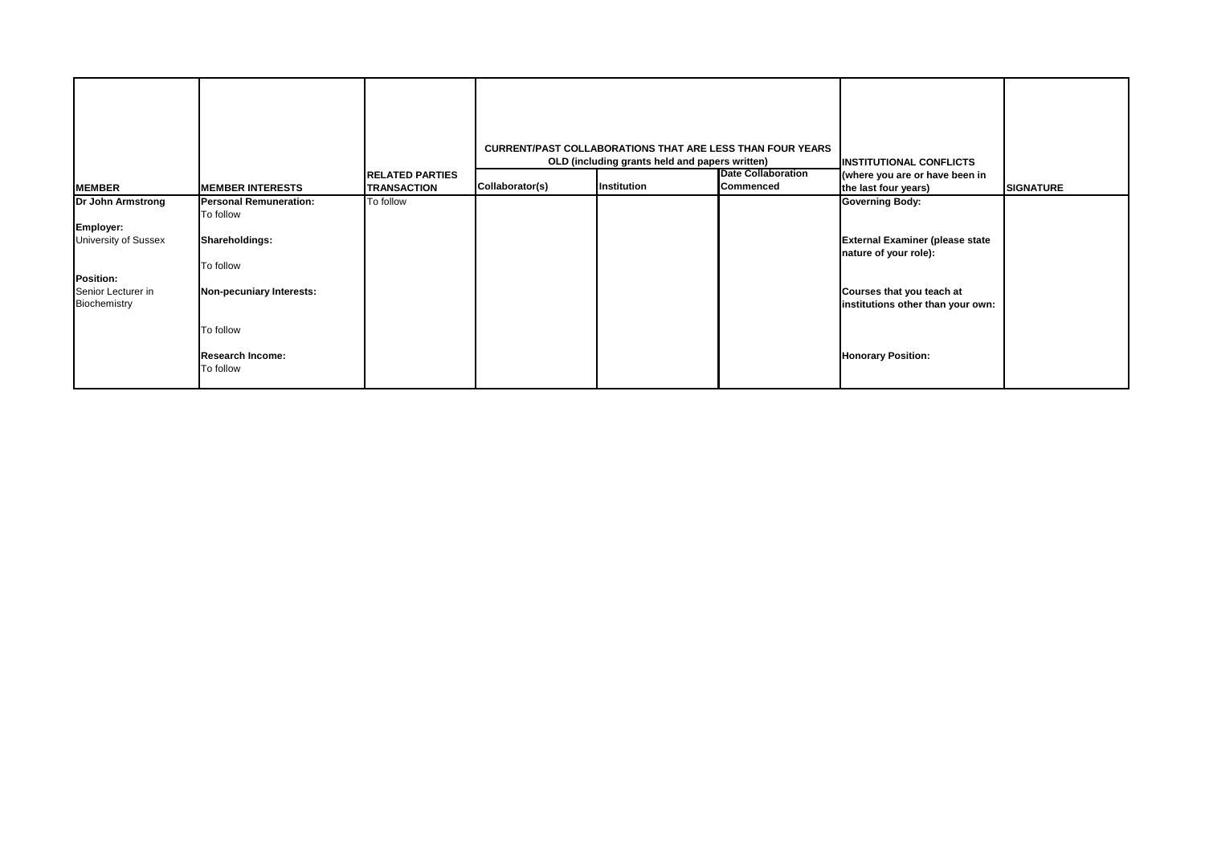| <b>MEMBER</b>                                          | <b>MEMBER INTERESTS</b>              | <b>RELATED PARTIES</b><br><b>TRANSACTION</b> | Collaborator(s) | <b>CURRENT/PAST COLLABORATIONS THAT ARE LESS THAN FOUR YEARS</b><br>OLD (including grants held and papers written)<br>Institution | <b>Date Collaboration</b><br>Commenced | <b>INSTITUTIONAL CONFLICTS</b><br>(where you are or have been in<br>the last four years) | <b>SIGNATURE</b> |
|--------------------------------------------------------|--------------------------------------|----------------------------------------------|-----------------|-----------------------------------------------------------------------------------------------------------------------------------|----------------------------------------|------------------------------------------------------------------------------------------|------------------|
| Dr John Armstrong                                      | <b>Personal Remuneration:</b>        | To follow                                    |                 |                                                                                                                                   |                                        | <b>Governing Body:</b>                                                                   |                  |
| Employer:                                              | To follow                            |                                              |                 |                                                                                                                                   |                                        |                                                                                          |                  |
| University of Sussex                                   | Shareholdings:                       |                                              |                 |                                                                                                                                   |                                        | <b>External Examiner (please state</b><br>nature of your role):                          |                  |
|                                                        | To follow                            |                                              |                 |                                                                                                                                   |                                        |                                                                                          |                  |
| <b>Position:</b><br>Senior Lecturer in<br>Biochemistry | Non-pecuniary Interests:             |                                              |                 |                                                                                                                                   |                                        | Courses that you teach at<br>institutions other than your own:                           |                  |
|                                                        | To follow                            |                                              |                 |                                                                                                                                   |                                        |                                                                                          |                  |
|                                                        | <b>Research Income:</b><br>To follow |                                              |                 |                                                                                                                                   |                                        | <b>Honorary Position:</b>                                                                |                  |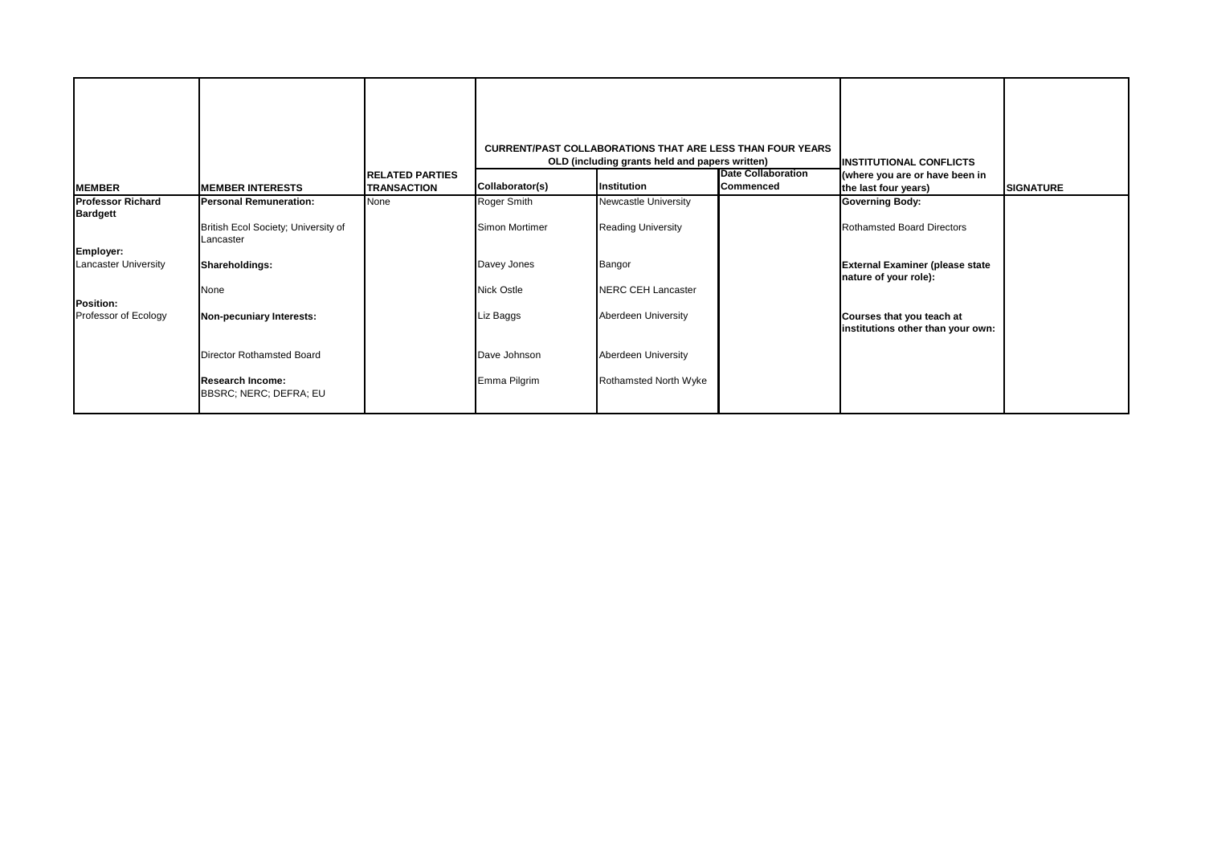|                                                 |                                                   |                                              |                   | <b>CURRENT/PAST COLLABORATIONS THAT ARE LESS THAN FOUR YEARS</b><br>OLD (including grants held and papers written) | <b>INSTITUTIONAL CONFLICTS</b>         |                                                                |                  |
|-------------------------------------------------|---------------------------------------------------|----------------------------------------------|-------------------|--------------------------------------------------------------------------------------------------------------------|----------------------------------------|----------------------------------------------------------------|------------------|
| <b>MEMBER</b>                                   | <b>MEMBER INTERESTS</b>                           | <b>RELATED PARTIES</b><br><b>TRANSACTION</b> | Collaborator(s)   | Institution                                                                                                        | <b>Date Collaboration</b><br>Commenced | (where you are or have been in<br>the last four years)         | <b>SIGNATURE</b> |
| <b>Professor Richard</b><br><b>Bardgett</b>     | <b>Personal Remuneration:</b>                     | None                                         | Roger Smith       | Newcastle University                                                                                               |                                        | <b>Governing Body:</b>                                         |                  |
|                                                 | British Ecol Society; University of<br>Lancaster  |                                              | Simon Mortimer    | <b>Reading University</b>                                                                                          |                                        | <b>Rothamsted Board Directors</b>                              |                  |
| <b>Employer:</b><br><b>Lancaster University</b> | Shareholdings:                                    |                                              | Davey Jones       | Bangor                                                                                                             |                                        | <b>External Examiner (please state</b>                         |                  |
|                                                 | None                                              |                                              | <b>Nick Ostle</b> | <b>NERC CEH Lancaster</b>                                                                                          |                                        | nature of your role):                                          |                  |
| <b>Position:</b>                                |                                                   |                                              |                   |                                                                                                                    |                                        |                                                                |                  |
| Professor of Ecology                            | Non-pecuniary Interests:                          |                                              | Liz Baggs         | Aberdeen University                                                                                                |                                        | Courses that you teach at<br>institutions other than your own: |                  |
|                                                 | Director Rothamsted Board                         |                                              | Dave Johnson      | Aberdeen University                                                                                                |                                        |                                                                |                  |
|                                                 | <b>Research Income:</b><br>BBSRC; NERC; DEFRA; EU |                                              | Emma Pilgrim      | Rothamsted North Wyke                                                                                              |                                        |                                                                |                  |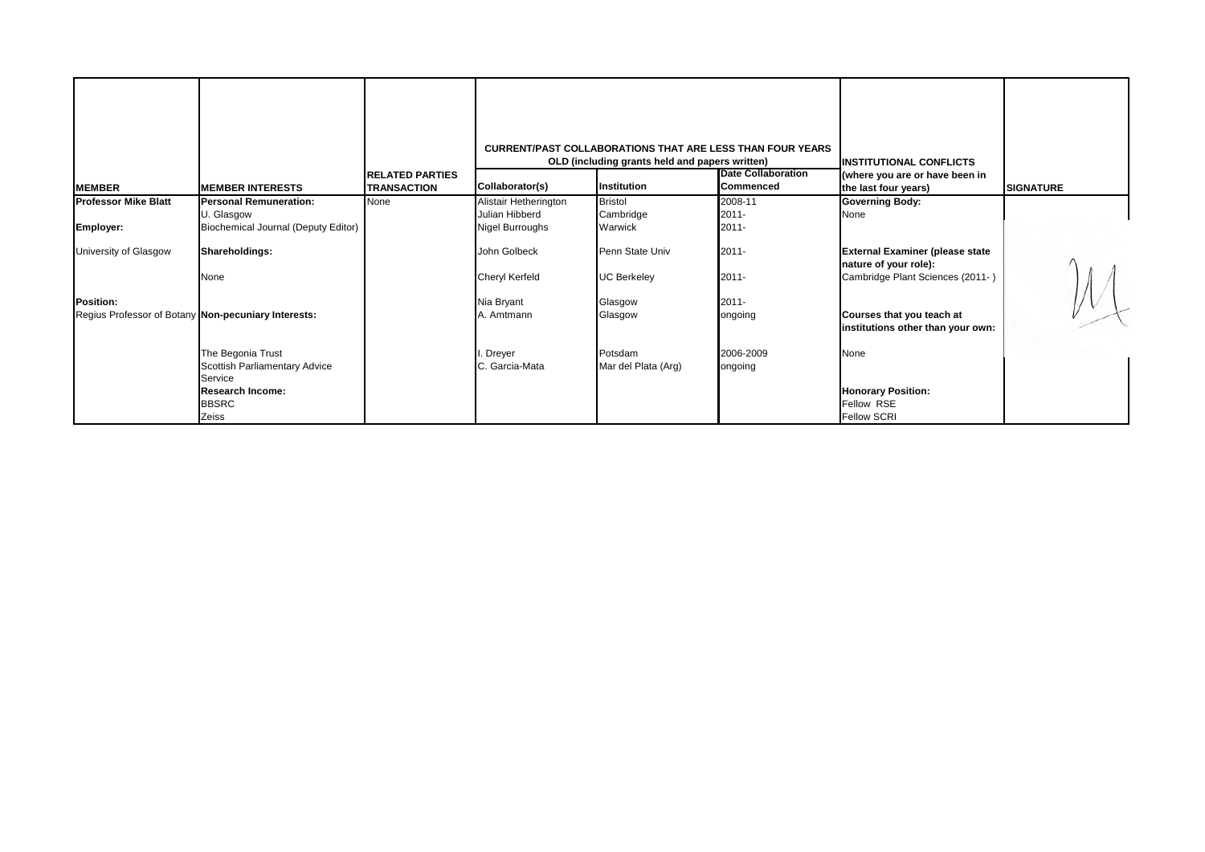| <b>MEMBER</b>                                                           | <b>MEMBER INTERESTS</b>                                                                                           | <b>RELATED PARTIES</b><br><b>TRANSACTION</b> | Collaborator(s)                       | OLD (including grants held and papers written)<br>Institution | <b>CURRENT/PAST COLLABORATIONS THAT ARE LESS THAN FOUR YEARS</b><br><b>Date Collaboration</b><br>Commenced | <b>INSTITUTIONAL CONFLICTS</b><br>(where you are or have been in<br>the last four years)            | <b>SIGNATURE</b> |
|-------------------------------------------------------------------------|-------------------------------------------------------------------------------------------------------------------|----------------------------------------------|---------------------------------------|---------------------------------------------------------------|------------------------------------------------------------------------------------------------------------|-----------------------------------------------------------------------------------------------------|------------------|
| <b>Professor Mike Blatt</b>                                             | <b>Personal Remuneration:</b>                                                                                     | None                                         | Alistair Hetherington                 | <b>Bristol</b>                                                | 2008-11                                                                                                    | <b>Governing Body:</b>                                                                              |                  |
|                                                                         | U. Glasgow                                                                                                        |                                              | Julian Hibberd                        | Cambridge                                                     | $2011 -$                                                                                                   | None                                                                                                |                  |
| Employer:                                                               | Biochemical Journal (Deputy Editor)                                                                               |                                              | Nigel Burroughs                       | Warwick                                                       | $2011 -$                                                                                                   |                                                                                                     |                  |
| University of Glasgow                                                   | Shareholdings:<br>None                                                                                            |                                              | John Golbeck<br><b>Cheryl Kerfeld</b> | Penn State Univ<br><b>UC Berkeley</b>                         | $2011 -$<br>$2011 -$                                                                                       | <b>External Examiner (please state</b><br>nature of your role):<br>Cambridge Plant Sciences (2011-) |                  |
| <b>Position:</b><br>Regius Professor of Botany Non-pecuniary Interests: |                                                                                                                   |                                              | Nia Bryant<br>A. Amtmann              | Glasgow<br>Glasgow                                            | $2011 -$<br>ongoing                                                                                        | Courses that you teach at<br>institutions other than your own:                                      |                  |
|                                                                         | The Begonia Trust<br>Scottish Parliamentary Advice<br>Service<br><b>Research Income:</b><br><b>BBSRC</b><br>Zeiss |                                              | Dreyer<br>C. Garcia-Mata              | Potsdam<br>Mar del Plata (Arg)                                | 2006-2009<br>ongoing                                                                                       | None<br><b>Honorary Position:</b><br>Fellow RSE<br><b>Fellow SCRI</b>                               |                  |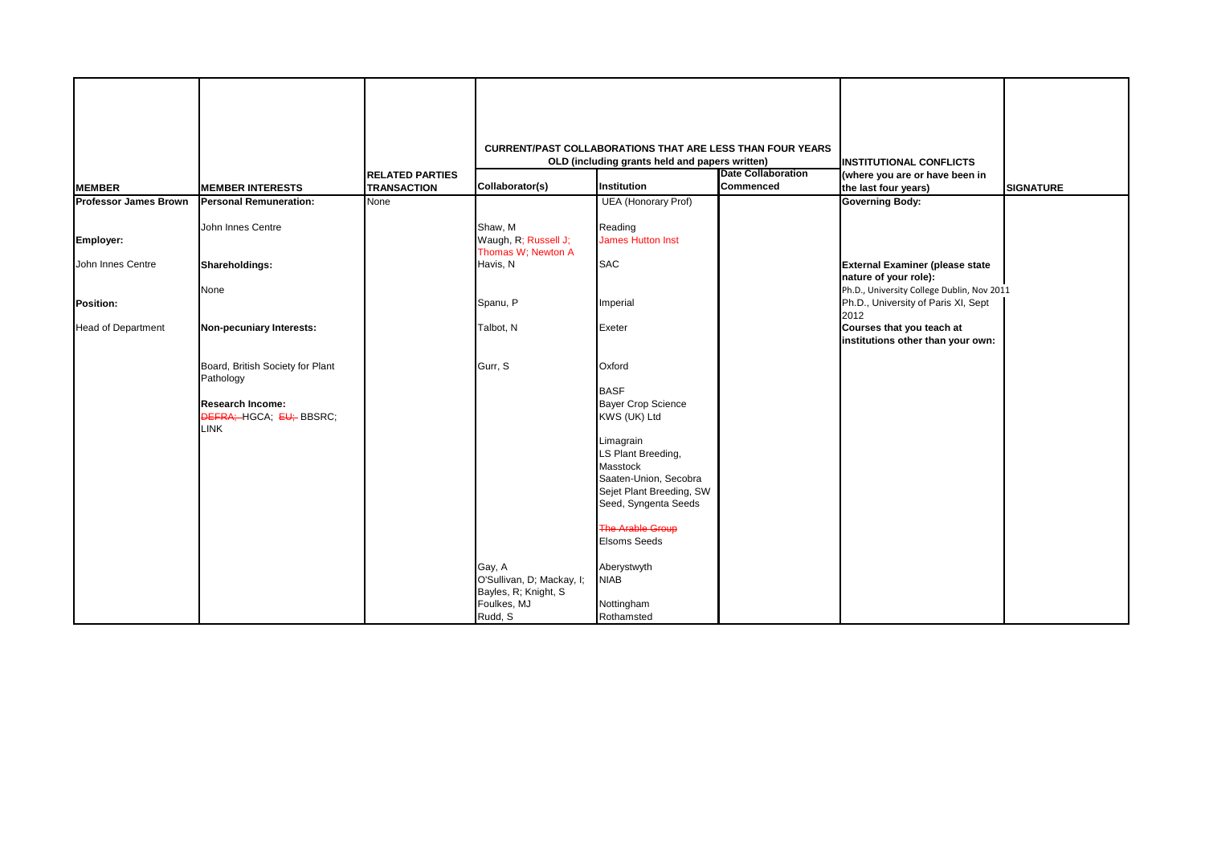|                              |                                                                          |                                              |                                                             | <b>CURRENT/PAST COLLABORATIONS THAT ARE LESS THAN FOUR YEARS</b><br>OLD (including grants held and papers written)                       |                                        | <b>INSTITUTIONAL CONFLICTS</b>                                                            |                  |
|------------------------------|--------------------------------------------------------------------------|----------------------------------------------|-------------------------------------------------------------|------------------------------------------------------------------------------------------------------------------------------------------|----------------------------------------|-------------------------------------------------------------------------------------------|------------------|
| <b>MEMBER</b>                | <b>MEMBER INTERESTS</b>                                                  | <b>RELATED PARTIES</b><br><b>TRANSACTION</b> | Collaborator(s)                                             | Institution                                                                                                                              | <b>Date Collaboration</b><br>Commenced | (where you are or have been in<br>the last four years)                                    | <b>SIGNATURE</b> |
| <b>Professor James Brown</b> | <b>Personal Remuneration:</b>                                            | None                                         |                                                             | <b>UEA</b> (Honorary Prof)                                                                                                               |                                        | <b>Governing Body:</b>                                                                    |                  |
| Employer:                    | John Innes Centre                                                        |                                              | Shaw, M<br>Waugh, R; Russell J;<br>Thomas W; Newton A       | Reading<br><b>James Hutton Inst</b>                                                                                                      |                                        |                                                                                           |                  |
| John Innes Centre            | Shareholdings:                                                           |                                              | Havis, N                                                    | <b>SAC</b>                                                                                                                               |                                        | <b>External Examiner (please state</b><br>nature of your role):                           |                  |
| <b>Position:</b>             | None                                                                     |                                              | Spanu, P                                                    | Imperial                                                                                                                                 |                                        | Ph.D., University College Dublin, Nov 2011<br>Ph.D., University of Paris XI, Sept<br>2012 |                  |
| <b>Head of Department</b>    | Non-pecuniary Interests:                                                 |                                              | Talbot, N                                                   | Exeter                                                                                                                                   |                                        | Courses that you teach at<br>institutions other than your own:                            |                  |
|                              | Board, British Society for Plant<br>Pathology<br><b>Research Income:</b> |                                              | Gurr, S                                                     | Oxford<br><b>BASF</b><br><b>Bayer Crop Science</b>                                                                                       |                                        |                                                                                           |                  |
|                              | DEFRA; HGCA; EU; BBSRC;<br><b>LINK</b>                                   |                                              |                                                             | KWS (UK) Ltd<br>Limagrain<br>LS Plant Breeding,<br>Masstock<br>Saaten-Union, Secobra<br>Sejet Plant Breeding, SW<br>Seed, Syngenta Seeds |                                        |                                                                                           |                  |
|                              |                                                                          |                                              | Gay, A<br>O'Sullivan, D; Mackay, I;<br>Bayles, R; Knight, S | <b>The Arable Group</b><br><b>Elsoms Seeds</b><br>Aberystwyth<br><b>NIAB</b>                                                             |                                        |                                                                                           |                  |
|                              |                                                                          |                                              | Foulkes, MJ<br>Rudd, S                                      | Nottingham<br>Rothamsted                                                                                                                 |                                        |                                                                                           |                  |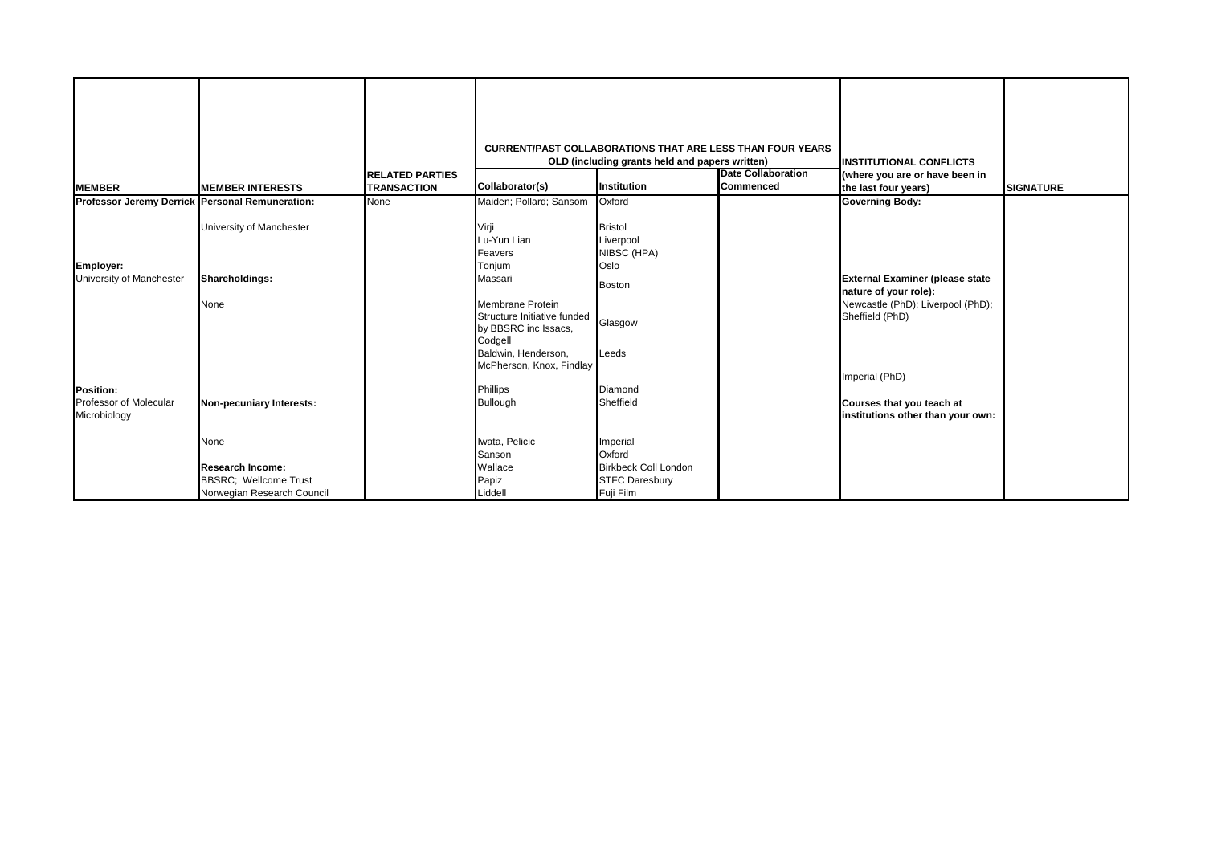|                                                     |                               | <b>RELATED PARTIES</b> |                                                                                                                                       | <b>CURRENT/PAST COLLABORATIONS THAT ARE LESS THAN FOUR YEARS</b><br>OLD (including grants held and papers written) | <b>Date Collaboration</b> | <b>IINSTITUTIONAL CONFLICTS</b><br>(where you are or have been in             |                  |
|-----------------------------------------------------|-------------------------------|------------------------|---------------------------------------------------------------------------------------------------------------------------------------|--------------------------------------------------------------------------------------------------------------------|---------------------------|-------------------------------------------------------------------------------|------------------|
| <b>MEMBER</b>                                       | <b>MEMBER INTERESTS</b>       | <b>TRANSACTION</b>     | Collaborator(s)                                                                                                                       | <b>Institution</b>                                                                                                 | <b>Commenced</b>          | the last four years)                                                          | <b>SIGNATURE</b> |
| Professor Jeremy Derrick Personal Remuneration:     |                               | None                   | Maiden; Pollard; Sansom                                                                                                               | Oxford                                                                                                             |                           | <b>Governing Body:</b>                                                        |                  |
| Employer:                                           | University of Manchester      |                        | Virji<br>Lu-Yun Lian<br>Feavers<br>Tonjum                                                                                             | <b>Bristol</b><br>Liverpool<br>NIBSC (HPA)<br>Oslo                                                                 |                           |                                                                               |                  |
| University of Manchester                            | Shareholdings:                |                        | Massari                                                                                                                               | <b>Boston</b>                                                                                                      |                           | <b>External Examiner (please state</b>                                        |                  |
|                                                     | None                          |                        | Membrane Protein<br>Structure Initiative funded<br>by BBSRC inc Issacs,<br>Codgell<br>Baldwin, Henderson,<br>McPherson, Knox, Findlay | Glasgow<br>Leeds                                                                                                   |                           | nature of your role):<br>Newcastle (PhD); Liverpool (PhD);<br>Sheffield (PhD) |                  |
|                                                     |                               |                        |                                                                                                                                       |                                                                                                                    |                           | Imperial (PhD)                                                                |                  |
| Position:<br>Professor of Molecular<br>Microbiology | Non-pecuniary Interests:      |                        | Phillips<br><b>Bullough</b>                                                                                                           | Diamond<br>Sheffield                                                                                               |                           | Courses that you teach at<br>institutions other than your own:                |                  |
|                                                     | None                          |                        | Iwata, Pelicic<br>Sanson                                                                                                              | Imperial<br>Oxford                                                                                                 |                           |                                                                               |                  |
|                                                     | <b>Research Income:</b>       |                        | Wallace                                                                                                                               | <b>Birkbeck Coll London</b>                                                                                        |                           |                                                                               |                  |
|                                                     | <b>BBSRC</b> ; Wellcome Trust |                        | Papiz                                                                                                                                 | <b>STFC Daresbury</b>                                                                                              |                           |                                                                               |                  |
|                                                     | Norwegian Research Council    |                        | Liddell                                                                                                                               | Fuji Film                                                                                                          |                           |                                                                               |                  |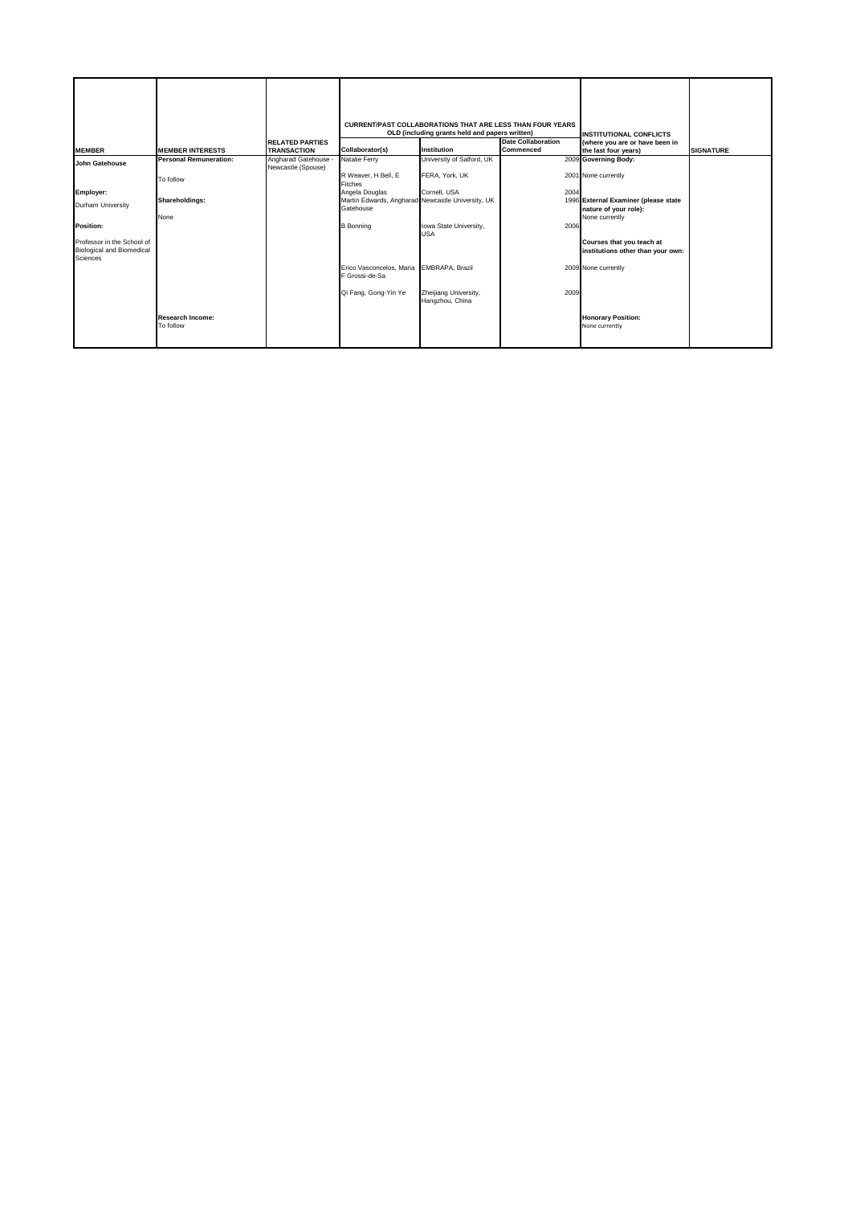|                                                                            |                                      |                                            |                                                                | <b>CURRENT/PAST COLLABORATIONS THAT ARE LESS THAN FOUR YEARS</b> |                           |                                                                |                  |
|----------------------------------------------------------------------------|--------------------------------------|--------------------------------------------|----------------------------------------------------------------|------------------------------------------------------------------|---------------------------|----------------------------------------------------------------|------------------|
|                                                                            |                                      |                                            |                                                                | OLD (including grants held and papers written)                   |                           | <b>INSTITUTIONAL CONFLICTS</b>                                 |                  |
|                                                                            |                                      | <b>RELATED PARTIES</b>                     |                                                                |                                                                  | <b>Date Collaboration</b> | (where you are or have been in                                 |                  |
| <b>MEMBER</b>                                                              | <b>MEMBER INTERESTS</b>              | <b>TRANSACTION</b>                         | Collaborator(s)                                                | Institution                                                      | <b>Commenced</b>          | the last four years)                                           | <b>SIGNATURE</b> |
| John Gatehouse                                                             | <b>Personal Remuneration:</b>        | Angharad Gatehouse -<br>Newcastle (Spouse) | Natalie Ferry                                                  | University of Salford, UK                                        |                           | 2009 Governing Body:                                           |                  |
|                                                                            | To follow                            |                                            | R Weaver, H Bell, E<br><b>Fitches</b>                          | FERA, York, UK                                                   |                           | 2001 None currently                                            |                  |
| Employer:                                                                  |                                      |                                            | Angela Douglas                                                 | Cornell, USA                                                     | 2004                      |                                                                |                  |
| Durham University                                                          | Shareholdings:                       |                                            | Martin Edwards, Angharad Newcastle University, UK<br>Gatehouse |                                                                  |                           | 1996 External Examiner (please state<br>nature of your role):  |                  |
|                                                                            | None                                 |                                            |                                                                |                                                                  |                           | None currently                                                 |                  |
| <b>Position:</b>                                                           |                                      |                                            | <b>B</b> Bonning                                               | Iowa State University,<br><b>USA</b>                             | 2006                      |                                                                |                  |
| Professor in the School of<br><b>Biological and Biomedical</b><br>Sciences |                                      |                                            |                                                                |                                                                  |                           | Courses that you teach at<br>institutions other than your own: |                  |
|                                                                            |                                      |                                            | Erico Vasconcelos, Maria<br>F Grossi-de-Sa                     | EMBRAPA, Brazil                                                  |                           | 2009 None currently                                            |                  |
|                                                                            |                                      |                                            | Qi Fang, Gong-Yin Ye                                           | Zheijiang University,<br>Hangzhou, China                         | 2009                      |                                                                |                  |
|                                                                            | <b>Research Income:</b><br>To follow |                                            |                                                                |                                                                  |                           | <b>Honorary Position:</b><br>None currently                    |                  |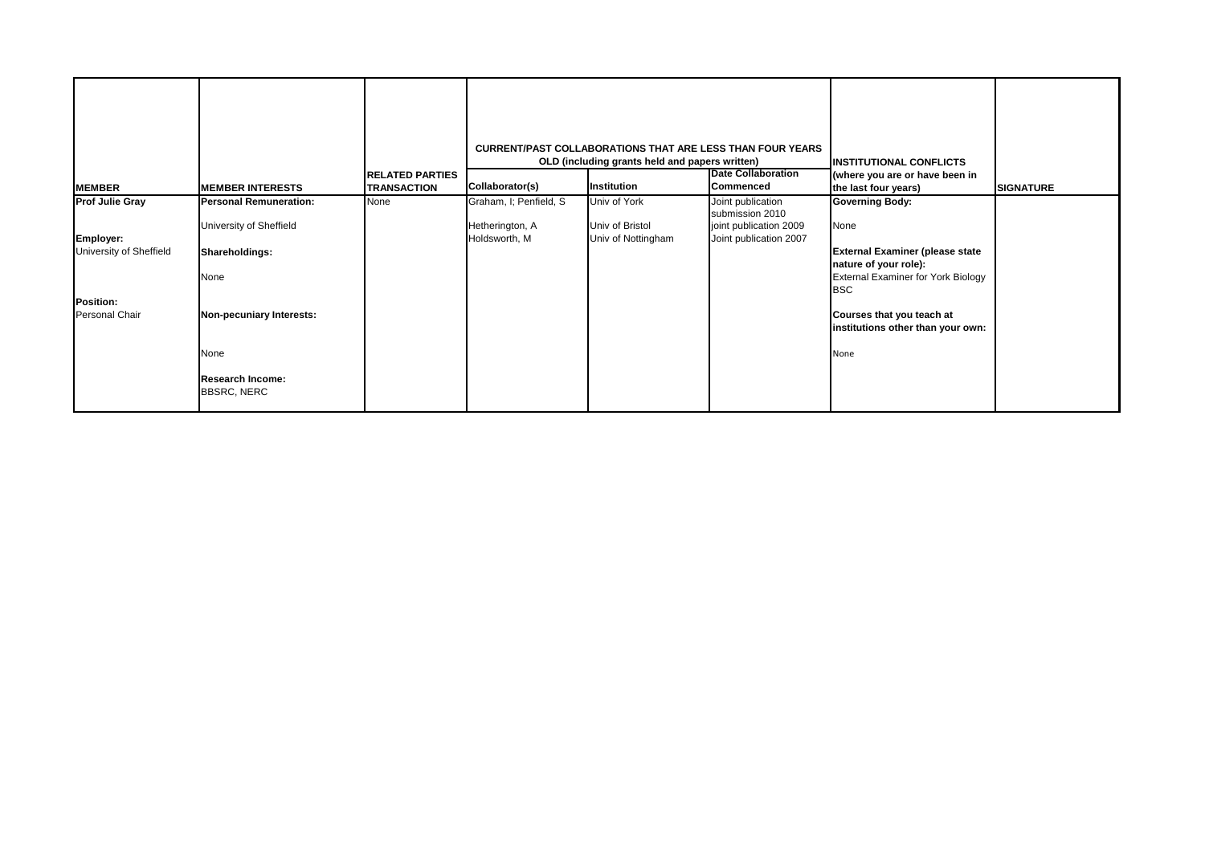|                                                                                                      |                                                                                                                | <b>RELATED PARTIES</b> |                                                            | <b>CURRENT/PAST COLLABORATIONS THAT ARE LESS THAN FOUR YEARS</b><br>OLD (including grants held and papers written) | <b>Date Collaboration</b>                                                                | <b>INSTITUTIONAL CONFLICTS</b><br>(where you are or have been in                                                                                                                                                               |                  |
|------------------------------------------------------------------------------------------------------|----------------------------------------------------------------------------------------------------------------|------------------------|------------------------------------------------------------|--------------------------------------------------------------------------------------------------------------------|------------------------------------------------------------------------------------------|--------------------------------------------------------------------------------------------------------------------------------------------------------------------------------------------------------------------------------|------------------|
| <b>MEMBER</b>                                                                                        | <b>MEMBER INTERESTS</b>                                                                                        | <b>TRANSACTION</b>     | Collaborator(s)                                            | Institution                                                                                                        | Commenced                                                                                | the last four years)                                                                                                                                                                                                           | <b>SIGNATURE</b> |
| <b>Prof Julie Gray</b><br>Employer:<br>University of Sheffield<br><b>Position:</b><br>Personal Chair | <b>Personal Remuneration:</b><br>University of Sheffield<br>Shareholdings:<br>None<br>Non-pecuniary Interests: | None                   | Graham, I; Penfield, S<br>Hetherington, A<br>Holdsworth, M | Univ of York<br>Univ of Bristol<br>Univ of Nottingham                                                              | Joint publication<br>submission 2010<br>joint publication 2009<br>Joint publication 2007 | <b>Governing Body:</b><br>None<br><b>External Examiner (please state</b><br>nature of your role):<br><b>External Examiner for York Biology</b><br><b>BSC</b><br>Courses that you teach at<br>institutions other than your own: |                  |
|                                                                                                      | None<br><b>Research Income:</b><br><b>BBSRC, NERC</b>                                                          |                        |                                                            |                                                                                                                    |                                                                                          | None                                                                                                                                                                                                                           |                  |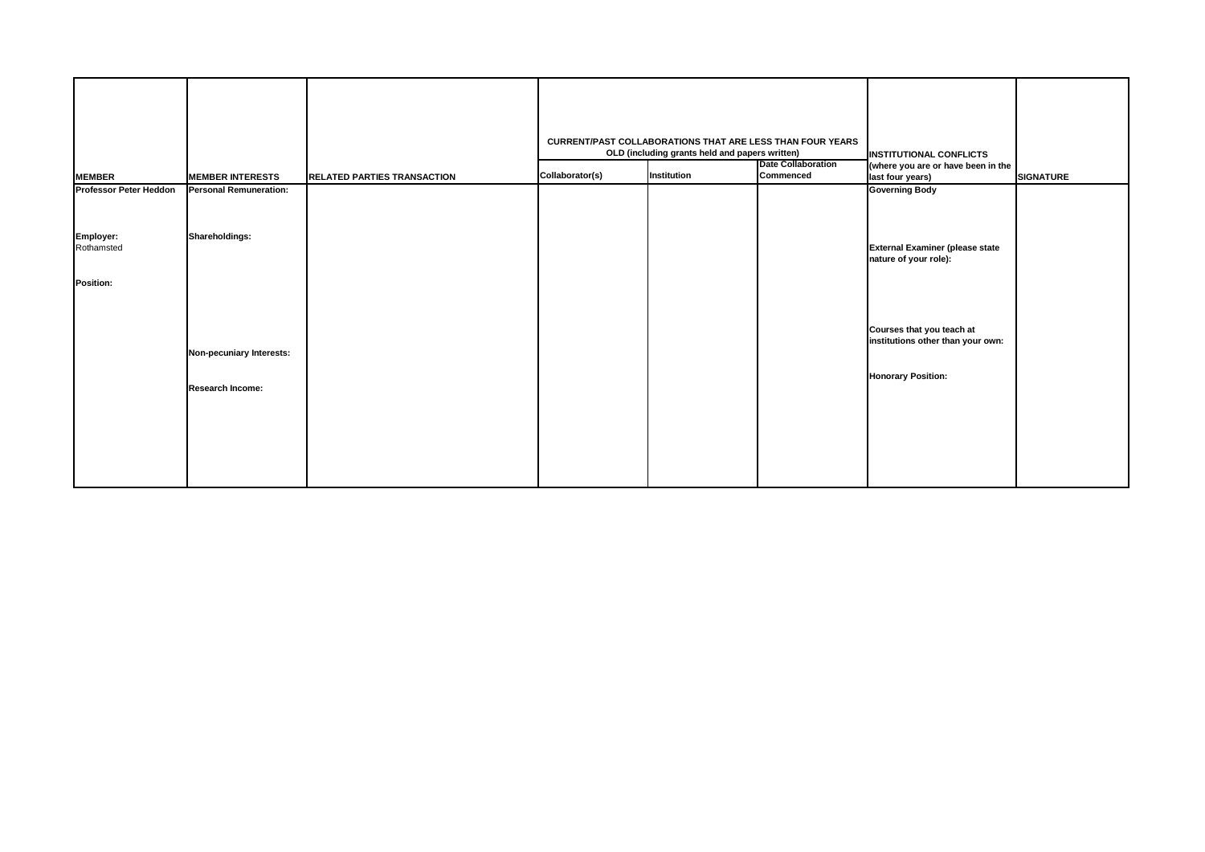|                               |                               |                                    |                 | <b>CURRENT/PAST COLLABORATIONS THAT ARE LESS THAN FOUR YEARS</b> |                           |                                                                      |                  |
|-------------------------------|-------------------------------|------------------------------------|-----------------|------------------------------------------------------------------|---------------------------|----------------------------------------------------------------------|------------------|
|                               |                               |                                    |                 | OLD (including grants held and papers written)                   | <b>Date Collaboration</b> | <b>INSTITUTIONAL CONFLICTS</b><br>(where you are or have been in the |                  |
| <b>MEMBER</b>                 | <b>MEMBER INTERESTS</b>       | <b>RELATED PARTIES TRANSACTION</b> | Collaborator(s) | Institution                                                      | Commenced                 | last four years)                                                     | <b>SIGNATURE</b> |
| <b>Professor Peter Heddon</b> | <b>Personal Remuneration:</b> |                                    |                 |                                                                  |                           | <b>Governing Body</b>                                                |                  |
|                               |                               |                                    |                 |                                                                  |                           |                                                                      |                  |
| Employer:<br>Rothamsted       | Shareholdings:                |                                    |                 |                                                                  |                           | <b>External Examiner (please state</b>                               |                  |
|                               |                               |                                    |                 |                                                                  |                           | nature of your role):                                                |                  |
| <b>Position:</b>              |                               |                                    |                 |                                                                  |                           |                                                                      |                  |
|                               | Non-pecuniary Interests:      |                                    |                 |                                                                  |                           | Courses that you teach at<br>institutions other than your own:       |                  |
|                               |                               |                                    |                 |                                                                  |                           |                                                                      |                  |
|                               | Research Income:              |                                    |                 |                                                                  |                           | <b>Honorary Position:</b>                                            |                  |
|                               |                               |                                    |                 |                                                                  |                           |                                                                      |                  |
|                               |                               |                                    |                 |                                                                  |                           |                                                                      |                  |
|                               |                               |                                    |                 |                                                                  |                           |                                                                      |                  |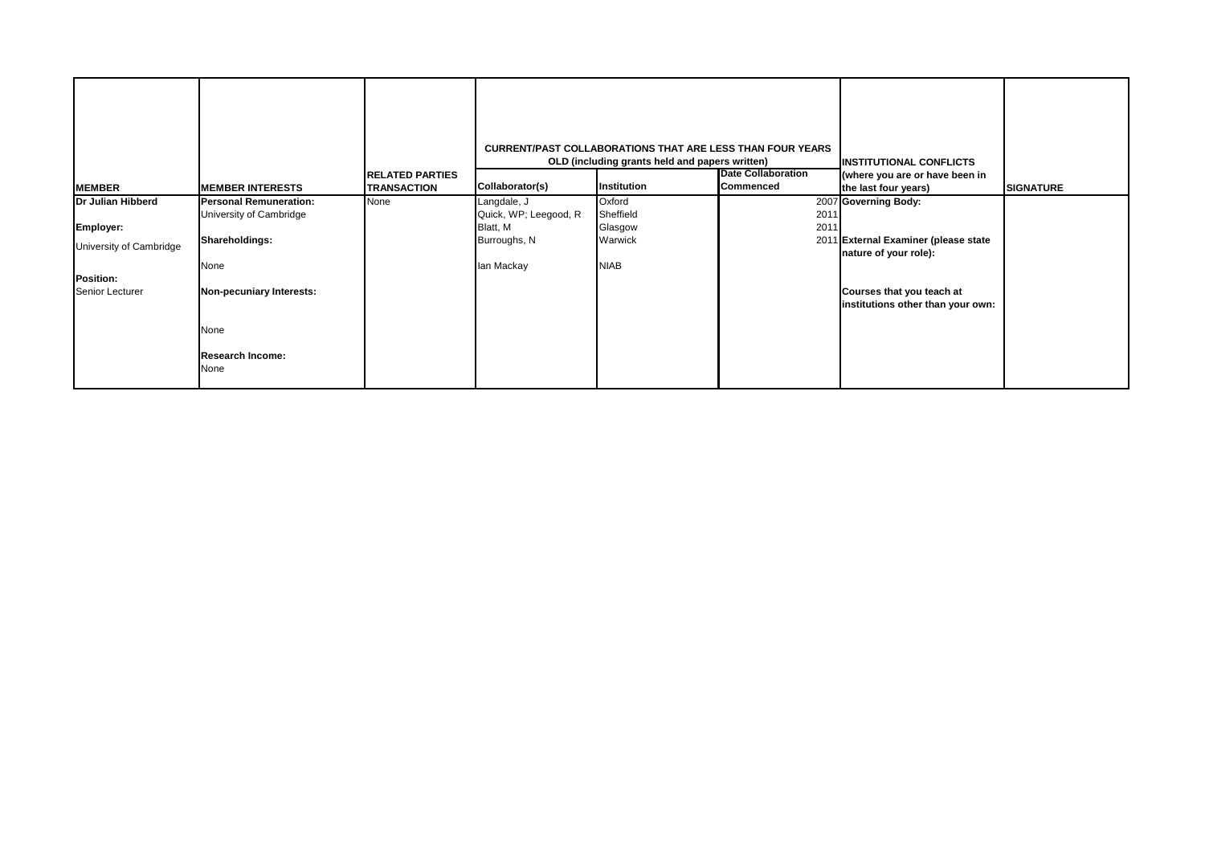| <b>MEMBER</b>           | <b>MEMBER INTERESTS</b>         | <b>RELATED PARTIES</b><br><b>TRANSACTION</b> | Collaborator(s)                   | OLD (including grants held and papers written)<br>Institution | <b>CURRENT/PAST COLLABORATIONS THAT ARE LESS THAN FOUR YEARS</b><br><b>Date Collaboration</b><br>Commenced | <b>INSTITUTIONAL CONFLICTS</b><br>(where you are or have been in<br>the last four years) | <b>SIGNATURE</b> |
|-------------------------|---------------------------------|----------------------------------------------|-----------------------------------|---------------------------------------------------------------|------------------------------------------------------------------------------------------------------------|------------------------------------------------------------------------------------------|------------------|
| Dr Julian Hibberd       | <b>Personal Remuneration:</b>   | None                                         | Langdale, J                       | Oxford                                                        |                                                                                                            | 2007 Governing Body:                                                                     |                  |
| <b>Employer:</b>        | University of Cambridge         |                                              | Quick, WP; Leegood, R<br>Blatt, M | Sheffield<br>Glasgow                                          | 2011<br>2011                                                                                               |                                                                                          |                  |
| University of Cambridge | Shareholdings:                  |                                              | Burroughs, N                      | Warwick                                                       |                                                                                                            | 2011 External Examiner (please state<br>nature of your role):                            |                  |
| Position:               | None                            |                                              | lan Mackay                        | <b>NIAB</b>                                                   |                                                                                                            |                                                                                          |                  |
| <b>Senior Lecturer</b>  | Non-pecuniary Interests:        |                                              |                                   |                                                               |                                                                                                            | Courses that you teach at<br>institutions other than your own:                           |                  |
|                         | None                            |                                              |                                   |                                                               |                                                                                                            |                                                                                          |                  |
|                         | <b>Research Income:</b><br>None |                                              |                                   |                                                               |                                                                                                            |                                                                                          |                  |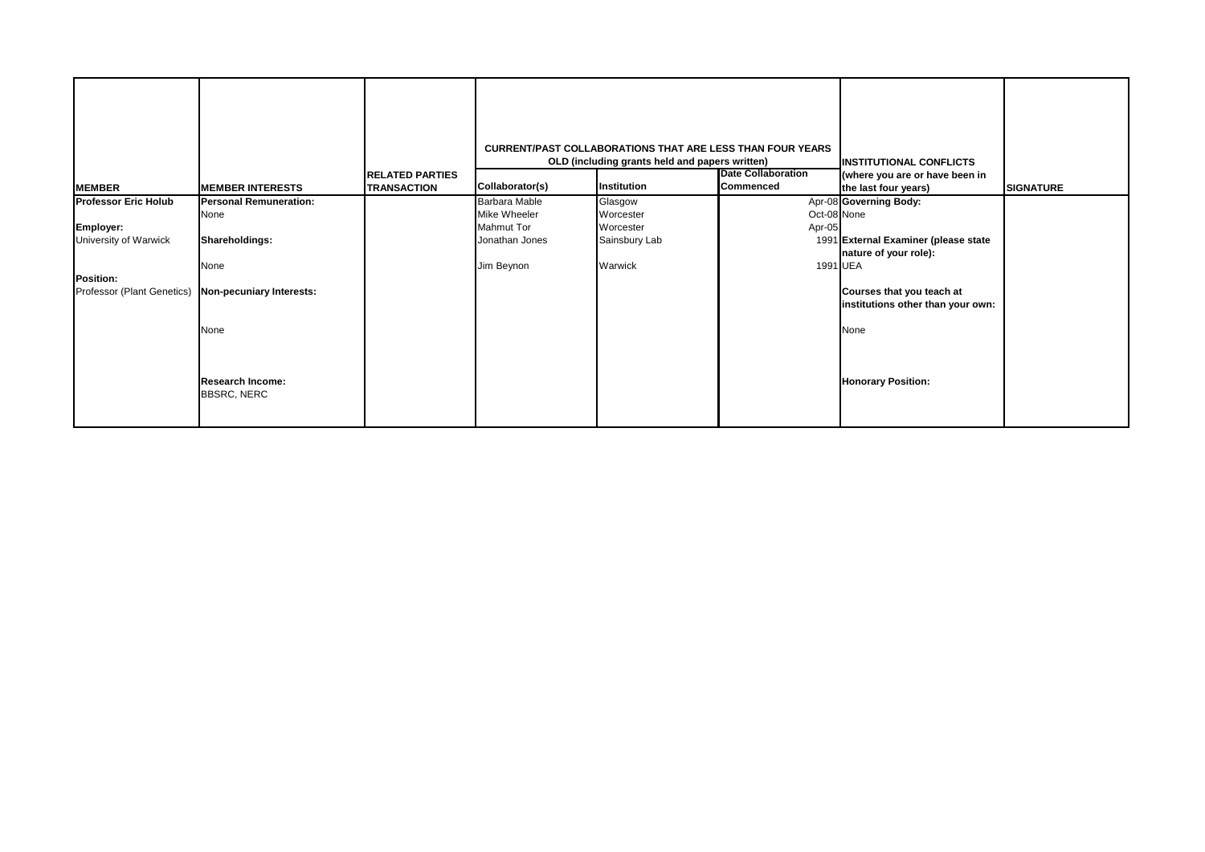|                                                                                                                     |                                                                                                     |                                              |                                                                                    | <b>CURRENT/PAST COLLABORATIONS THAT ARE LESS THAN FOUR YEARS</b><br>OLD (including grants held and papers written) |                                               | <b>INSTITUTIONAL CONFLICTS</b>                                                                                                                                    |                  |
|---------------------------------------------------------------------------------------------------------------------|-----------------------------------------------------------------------------------------------------|----------------------------------------------|------------------------------------------------------------------------------------|--------------------------------------------------------------------------------------------------------------------|-----------------------------------------------|-------------------------------------------------------------------------------------------------------------------------------------------------------------------|------------------|
| <b>MEMBER</b>                                                                                                       | <b>MEMBER INTERESTS</b>                                                                             | <b>RELATED PARTIES</b><br><b>TRANSACTION</b> | Collaborator(s)                                                                    | Institution                                                                                                        | <b>Date Collaboration</b><br><b>Commenced</b> | (where you are or have been in<br>the last four years)                                                                                                            | <b>SIGNATURE</b> |
| <b>Professor Eric Holub</b><br><b>Employer:</b><br>University of Warwick<br>Position:<br>Professor (Plant Genetics) | <b>Personal Remuneration:</b><br>None<br>Shareholdings:<br>None<br>Non-pecuniary Interests:<br>None |                                              | Barbara Mable<br>Mike Wheeler<br><b>Mahmut Tor</b><br>Jonathan Jones<br>Jim Beynon | Glasgow<br>Worcester<br>Worcester<br>Sainsbury Lab<br>Warwick                                                      | Oct-08 None<br>Apr-05<br>1991 UEA             | Apr-08 Governing Body:<br>1991 External Examiner (please state<br>nature of your role):<br>Courses that you teach at<br>institutions other than your own:<br>None |                  |
|                                                                                                                     | <b>Research Income:</b><br><b>BBSRC, NERC</b>                                                       |                                              |                                                                                    |                                                                                                                    |                                               | <b>Honorary Position:</b>                                                                                                                                         |                  |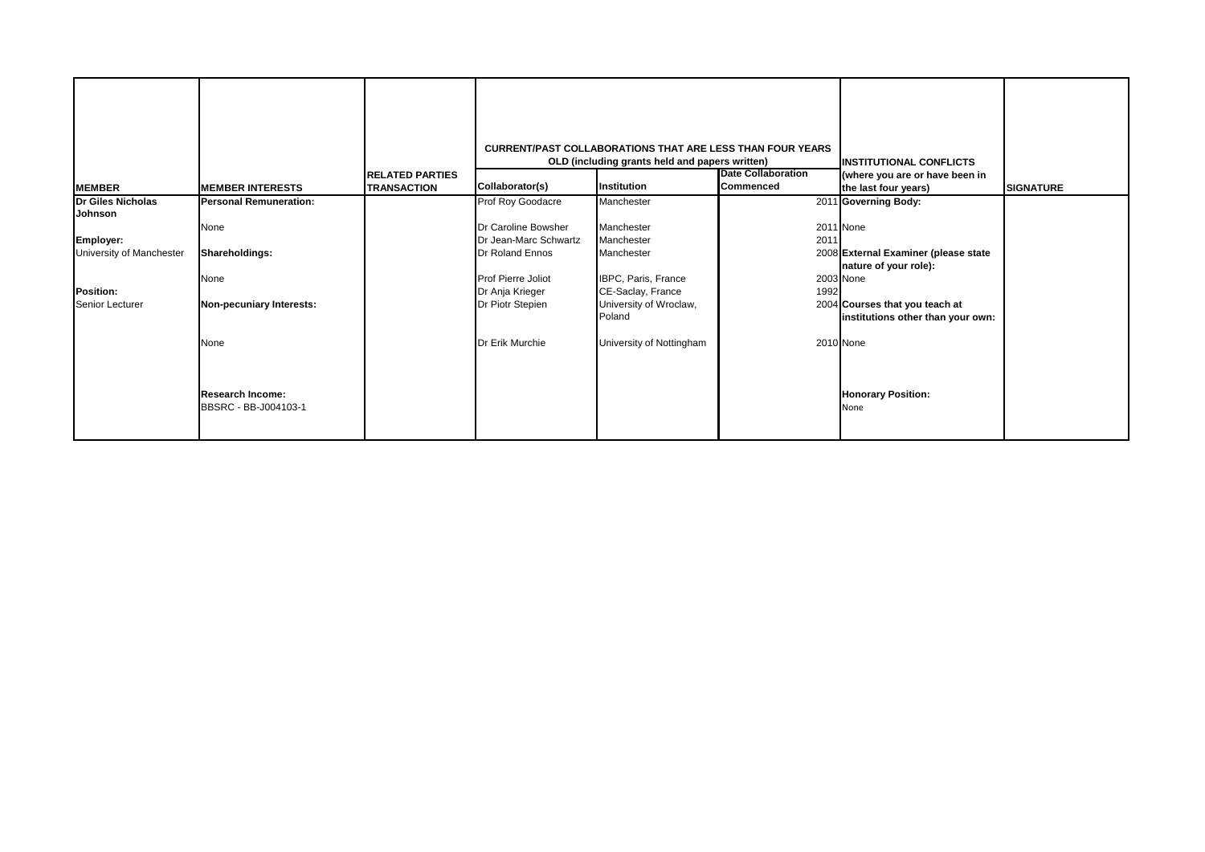|                                            |                                                 |                                              |                                              | <b>CURRENT/PAST COLLABORATIONS THAT ARE LESS THAN FOUR YEARS</b><br>OLD (including grants held and papers written) |                                               | <b>INSTITUTIONAL CONFLICTS</b>                                      |                  |
|--------------------------------------------|-------------------------------------------------|----------------------------------------------|----------------------------------------------|--------------------------------------------------------------------------------------------------------------------|-----------------------------------------------|---------------------------------------------------------------------|------------------|
| <b>MEMBER</b>                              | <b>MEMBER INTERESTS</b>                         | <b>RELATED PARTIES</b><br><b>TRANSACTION</b> | Collaborator(s)                              | Institution                                                                                                        | <b>Date Collaboration</b><br><b>Commenced</b> | (where you are or have been in<br>the last four years)              | <b>SIGNATURE</b> |
| <b>Dr Giles Nicholas</b><br><b>Johnson</b> | <b>Personal Remuneration:</b>                   |                                              | Prof Roy Goodacre                            | Manchester                                                                                                         |                                               | 2011 Governing Body:                                                |                  |
| Employer:                                  | None                                            |                                              | Dr Caroline Bowsher<br>Dr Jean-Marc Schwartz | Manchester<br>Manchester                                                                                           | 2011                                          | 2011 None                                                           |                  |
| University of Manchester                   | Shareholdings:                                  |                                              | Dr Roland Ennos                              | Manchester                                                                                                         |                                               | 2008 External Examiner (please state<br>nature of your role):       |                  |
| Position:                                  | None                                            |                                              | <b>Prof Pierre Joliot</b><br>Dr Anja Krieger | IBPC, Paris, France<br>CE-Saclay, France                                                                           | 1992                                          | 2003 None                                                           |                  |
| Senior Lecturer                            | Non-pecuniary Interests:                        |                                              | Dr Piotr Stepien                             | University of Wroclaw,<br>Poland                                                                                   |                                               | 2004 Courses that you teach at<br>institutions other than your own: |                  |
|                                            | None                                            |                                              | Dr Erik Murchie                              | University of Nottingham                                                                                           |                                               | 2010 None                                                           |                  |
|                                            | <b>Research Income:</b><br>BBSRC - BB-J004103-1 |                                              |                                              |                                                                                                                    |                                               | <b>Honorary Position:</b><br>None                                   |                  |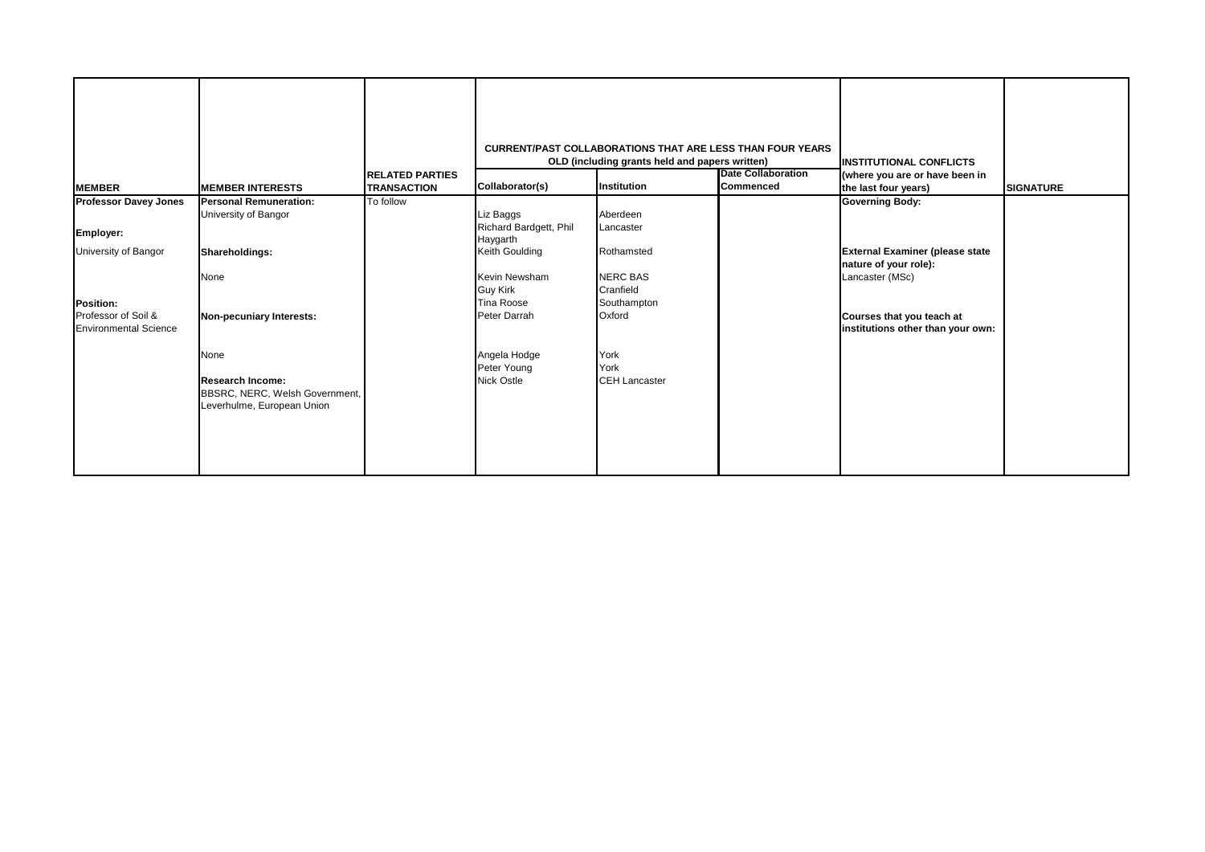| <b>MEMBER</b>                                                           | <b>MEMBER INTERESTS</b>                                                                 | <b>RELATED PARTIES</b><br><b>TRANSACTION</b> | Collaborator(s)            | <b>CURRENT/PAST COLLABORATIONS THAT ARE LESS THAN FOUR YEARS</b><br>OLD (including grants held and papers written)<br>Institution | <b>Date Collaboration</b><br><b>Commenced</b> | <b>INSTITUTIONAL CONFLICTS</b><br>(where you are or have been in<br>the last four years) | <b>SIGNATURE</b> |
|-------------------------------------------------------------------------|-----------------------------------------------------------------------------------------|----------------------------------------------|----------------------------|-----------------------------------------------------------------------------------------------------------------------------------|-----------------------------------------------|------------------------------------------------------------------------------------------|------------------|
| <b>Professor Davey Jones</b>                                            | <b>Personal Remuneration:</b>                                                           | To follow                                    |                            |                                                                                                                                   |                                               | <b>Governing Body:</b>                                                                   |                  |
|                                                                         | University of Bangor                                                                    |                                              | Liz Baggs                  | Aberdeen                                                                                                                          |                                               |                                                                                          |                  |
| Employer:                                                               |                                                                                         |                                              | Richard Bardgett, Phil     | Lancaster                                                                                                                         |                                               |                                                                                          |                  |
| University of Bangor                                                    | Shareholdings:                                                                          |                                              | Haygarth<br>Keith Goulding | Rothamsted                                                                                                                        |                                               | <b>External Examiner (please state</b>                                                   |                  |
|                                                                         |                                                                                         |                                              |                            |                                                                                                                                   |                                               | nature of your role):                                                                    |                  |
|                                                                         | None                                                                                    |                                              | Kevin Newsham              | <b>NERC BAS</b>                                                                                                                   |                                               | Lancaster (MSc)                                                                          |                  |
|                                                                         |                                                                                         |                                              | <b>Guy Kirk</b>            | Cranfield                                                                                                                         |                                               |                                                                                          |                  |
| <b>Position:</b><br>Professor of Soil &<br><b>Environmental Science</b> | Non-pecuniary Interests:                                                                |                                              | Tina Roose<br>Peter Darrah | Southampton<br>Oxford                                                                                                             |                                               | Courses that you teach at<br>institutions other than your own:                           |                  |
|                                                                         | None                                                                                    |                                              | Angela Hodge               | York                                                                                                                              |                                               |                                                                                          |                  |
|                                                                         |                                                                                         |                                              | Peter Young                | York                                                                                                                              |                                               |                                                                                          |                  |
|                                                                         | <b>Research Income:</b><br>BBSRC, NERC, Welsh Government,<br>Leverhulme, European Union |                                              | <b>Nick Ostle</b>          | <b>CEH Lancaster</b>                                                                                                              |                                               |                                                                                          |                  |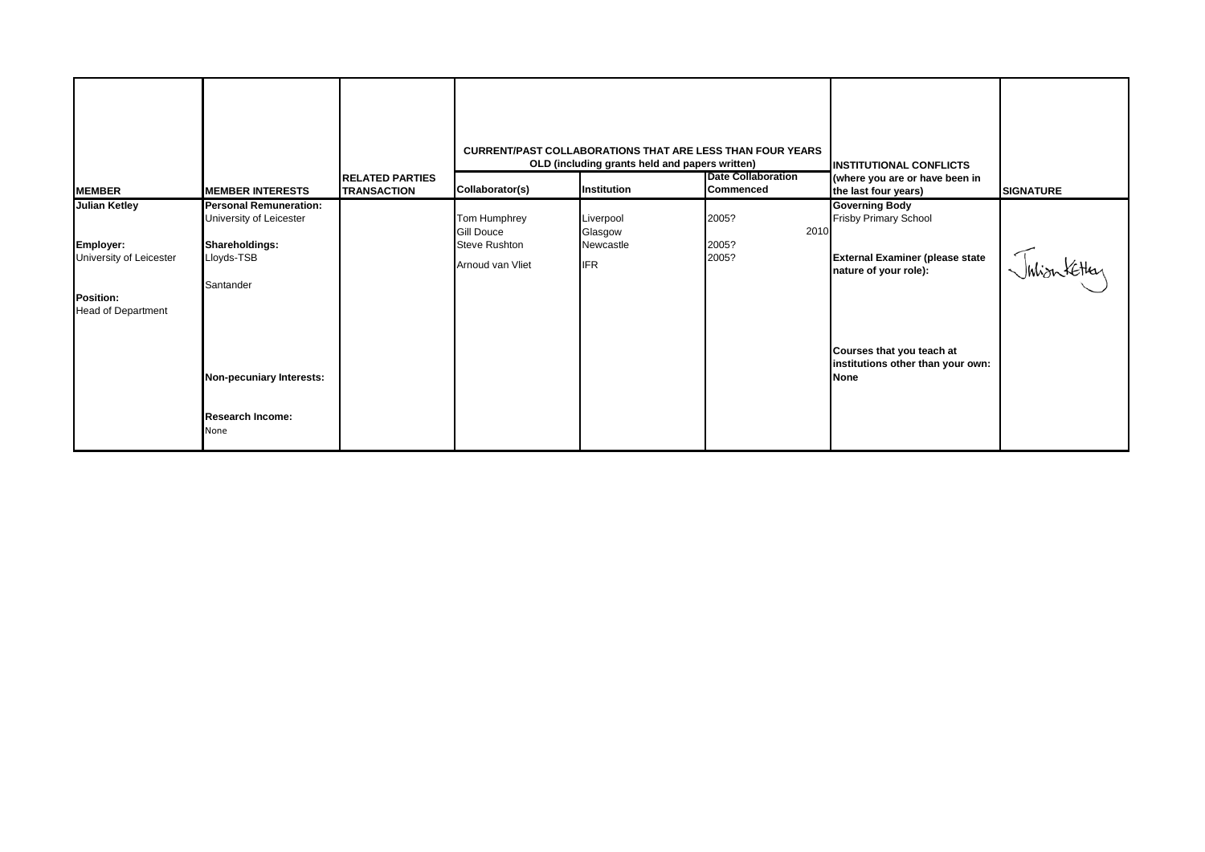|                                                                                                               |                                                                                                                                                                      |                                              |                                                                               | <b>CURRENT/PAST COLLABORATIONS THAT ARE LESS THAN FOUR YEARS</b><br>OLD (including grants held and papers written) | <b>INSTITUTIONAL CONFLICTS</b>                |                                                                                                                                                                                                    |                  |
|---------------------------------------------------------------------------------------------------------------|----------------------------------------------------------------------------------------------------------------------------------------------------------------------|----------------------------------------------|-------------------------------------------------------------------------------|--------------------------------------------------------------------------------------------------------------------|-----------------------------------------------|----------------------------------------------------------------------------------------------------------------------------------------------------------------------------------------------------|------------------|
| <b>MEMBER</b>                                                                                                 | <b>MEMBER INTERESTS</b>                                                                                                                                              | <b>RELATED PARTIES</b><br><b>TRANSACTION</b> | Collaborator(s)                                                               | Institution                                                                                                        | <b>Date Collaboration</b><br><b>Commenced</b> | (where you are or have been in<br>the last four years)                                                                                                                                             | <b>SIGNATURE</b> |
| <b>Julian Ketley</b><br>Employer:<br>University of Leicester<br><b>Position:</b><br><b>Head of Department</b> | <b>Personal Remuneration:</b><br>University of Leicester<br>Shareholdings:<br>Lloyds-TSB<br>Santander<br>Non-pecuniary Interests:<br><b>Research Income:</b><br>None |                                              | Tom Humphrey<br><b>Gill Douce</b><br><b>Steve Rushton</b><br>Arnoud van Vliet | Liverpool<br>Glasgow<br>Newcastle<br><b>IFR</b>                                                                    | 2005?<br>2010<br>2005?<br>2005?               | <b>Governing Body</b><br>Frisby Primary School<br><b>External Examiner (please state</b><br>nature of your role):<br>Courses that you teach at<br>institutions other than your own:<br><b>None</b> | Julian Ketten    |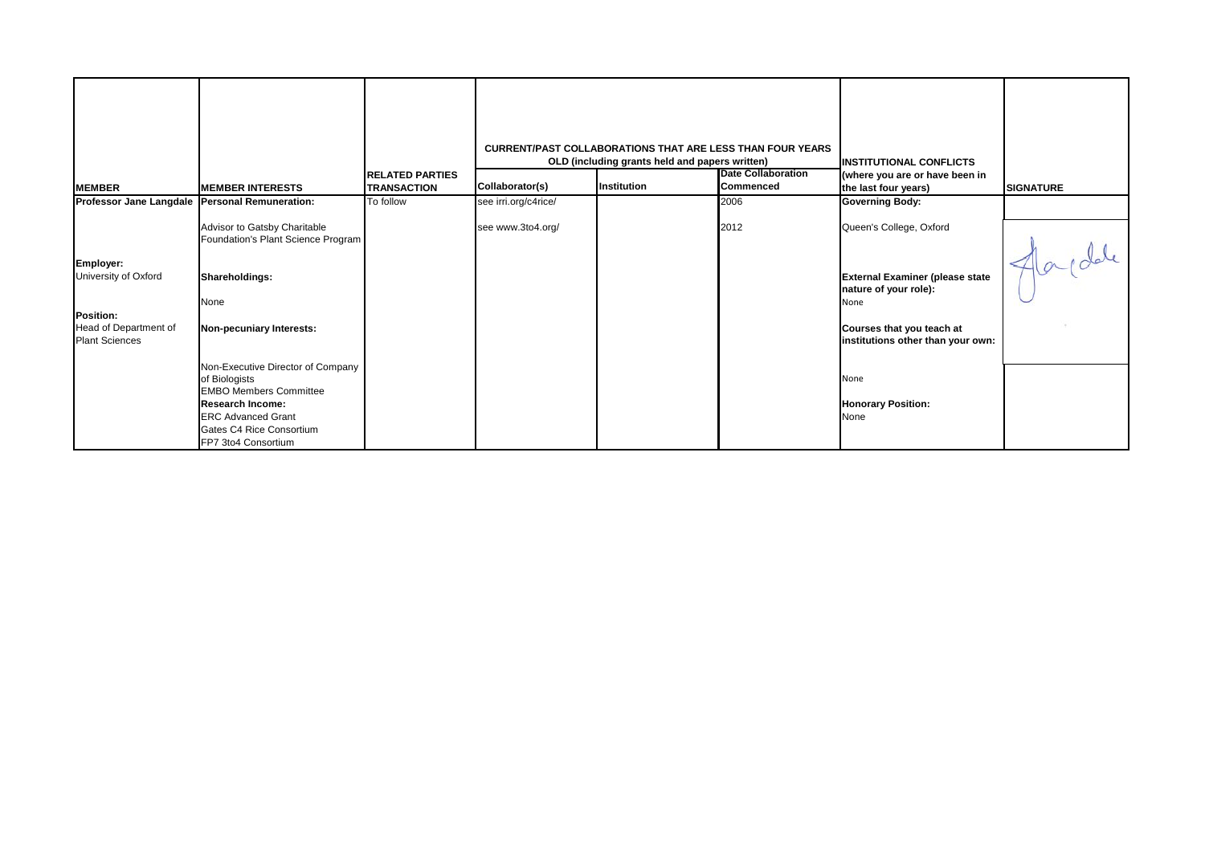| <b>MEMBER</b>                                  | <b>IMEMBER INTERESTS</b>                                                                                                                                                                       | <b>RELATED PARTIES</b><br><b>TRANSACTION</b> | Collaborator(s)      | <b>CURRENT/PAST COLLABORATIONS THAT ARE LESS THAN FOUR YEARS</b><br>OLD (including grants held and papers written)<br>Institution | <b>Date Collaboration</b><br><b>Commenced</b> | <b>INSTITUTIONAL CONFLICTS</b><br>(where you are or have been in<br>the last four years) | <b>SIGNATURE</b> |
|------------------------------------------------|------------------------------------------------------------------------------------------------------------------------------------------------------------------------------------------------|----------------------------------------------|----------------------|-----------------------------------------------------------------------------------------------------------------------------------|-----------------------------------------------|------------------------------------------------------------------------------------------|------------------|
| Professor Jane Langdale Personal Remuneration: |                                                                                                                                                                                                | To follow                                    | see irri.org/c4rice/ |                                                                                                                                   | 2006                                          | <b>Governing Body:</b>                                                                   |                  |
|                                                | Advisor to Gatsby Charitable<br>Foundation's Plant Science Program                                                                                                                             |                                              | see www.3to4.org/    |                                                                                                                                   | 2012                                          | Queen's College, Oxford                                                                  |                  |
| Employer:<br>University of Oxford              | Shareholdings:<br>None                                                                                                                                                                         |                                              |                      |                                                                                                                                   |                                               | <b>External Examiner (please state</b><br>nature of your role):<br>None                  | Alacdde.         |
| Position:                                      |                                                                                                                                                                                                |                                              |                      |                                                                                                                                   |                                               |                                                                                          |                  |
| Head of Department of<br><b>Plant Sciences</b> | Non-pecuniary Interests:                                                                                                                                                                       |                                              |                      |                                                                                                                                   |                                               | Courses that you teach at<br>institutions other than your own:                           |                  |
|                                                | Non-Executive Director of Company<br>of Biologists<br><b>EMBO Members Committee</b><br><b>Research Income:</b><br><b>ERC Advanced Grant</b><br>Gates C4 Rice Consortium<br>FP7 3to4 Consortium |                                              |                      |                                                                                                                                   |                                               | None<br><b>Honorary Position:</b><br>None                                                |                  |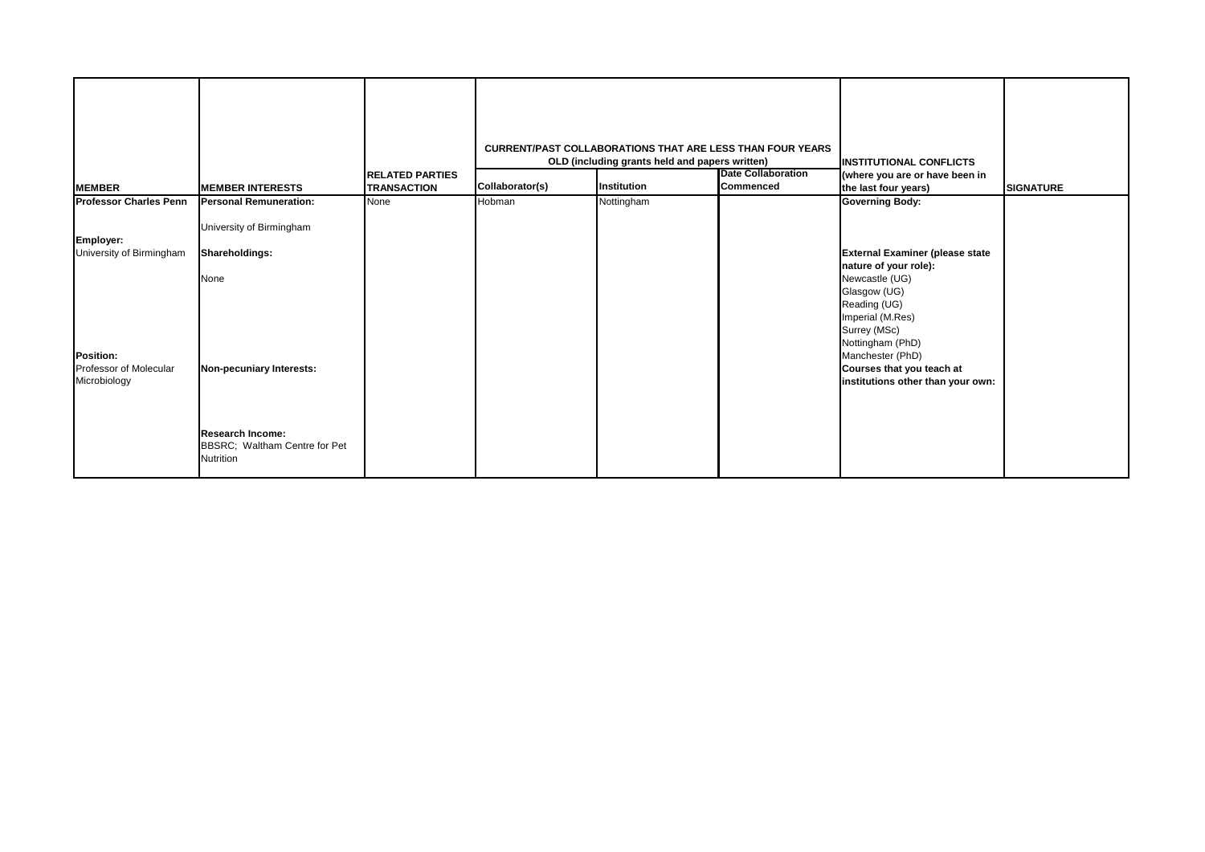| <b>MEMBER</b>                                              | <b>MEMBER INTERESTS</b>                                               | <b>RELATED PARTIES</b><br><b>TRANSACTION</b> | <b>CURRENT/PAST COLLABORATIONS THAT ARE LESS THAN FOUR YEARS</b><br>OLD (including grants held and papers written)<br><b>Date Collaboration</b><br>Institution<br>Collaborator(s)<br><b>Commenced</b> |            |  | <b>INSTITUTIONAL CONFLICTS</b><br>(where you are or have been in<br>the last four years)                                        | <b>SIGNATURE</b> |
|------------------------------------------------------------|-----------------------------------------------------------------------|----------------------------------------------|-------------------------------------------------------------------------------------------------------------------------------------------------------------------------------------------------------|------------|--|---------------------------------------------------------------------------------------------------------------------------------|------------------|
| <b>Professor Charles Penn</b>                              | <b>Personal Remuneration:</b>                                         | None                                         | Hobman                                                                                                                                                                                                | Nottingham |  | <b>Governing Body:</b>                                                                                                          |                  |
| Employer:<br>University of Birmingham                      | University of Birmingham<br>Shareholdings:                            |                                              |                                                                                                                                                                                                       |            |  | <b>External Examiner (please state</b>                                                                                          |                  |
|                                                            | None                                                                  |                                              |                                                                                                                                                                                                       |            |  | nature of your role):<br>Newcastle (UG)<br>Glasgow (UG)<br>Reading (UG)<br>Imperial (M.Res)<br>Surrey (MSc)<br>Nottingham (PhD) |                  |
| <b>Position:</b><br>Professor of Molecular<br>Microbiology | Non-pecuniary Interests:                                              |                                              |                                                                                                                                                                                                       |            |  | Manchester (PhD)<br>Courses that you teach at<br>institutions other than your own:                                              |                  |
|                                                            | <b>Research Income:</b><br>BBSRC; Waltham Centre for Pet<br>Nutrition |                                              |                                                                                                                                                                                                       |            |  |                                                                                                                                 |                  |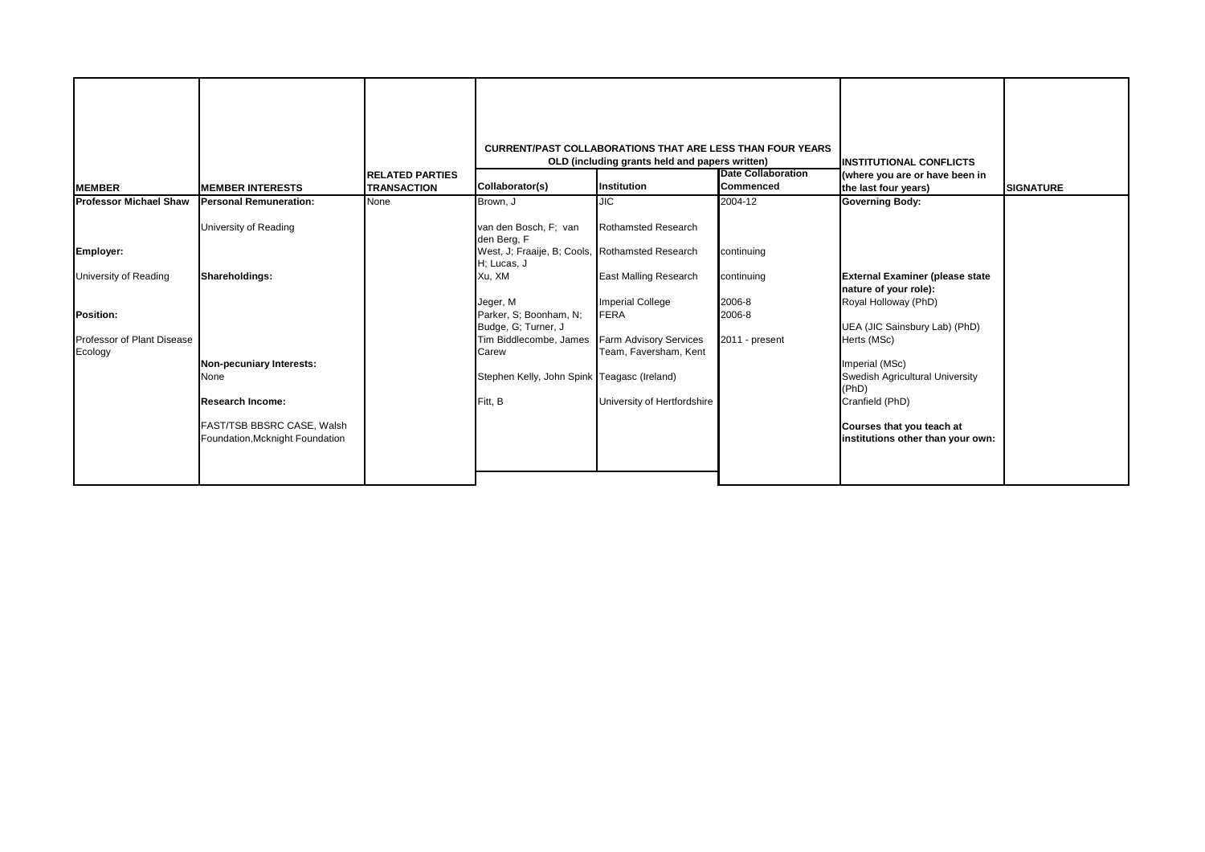| <b>MEMBER</b>                 | <b>MEMBER INTERESTS</b>                                       | <b>RELATED PARTIES</b><br><b>TRANSACTION</b> | Collaborator(s)                                                                                        | <b>CURRENT/PAST COLLABORATIONS THAT ARE LESS THAN FOUR YEARS</b><br>OLD (including grants held and papers written)<br>Date Collaboration<br>Institution | <b>INSTITUTIONAL CONFLICTS</b><br>(where you are or have been in<br>the last four years) | <b>SIGNATURE</b>                                                |  |
|-------------------------------|---------------------------------------------------------------|----------------------------------------------|--------------------------------------------------------------------------------------------------------|---------------------------------------------------------------------------------------------------------------------------------------------------------|------------------------------------------------------------------------------------------|-----------------------------------------------------------------|--|
| <b>Professor Michael Shaw</b> | <b>Personal Remuneration:</b>                                 | None                                         | Brown, J                                                                                               | <b>JIC</b>                                                                                                                                              | <b>Commenced</b><br>2004-12                                                              | <b>Governing Body:</b>                                          |  |
| Employer:                     | University of Reading                                         |                                              | van den Bosch, F; van<br>den Berg, F<br>West, J; Fraaije, B; Cools, Rothamsted Research<br>H; Lucas, J | Rothamsted Research                                                                                                                                     | continuing                                                                               |                                                                 |  |
| University of Reading         | Shareholdings:                                                |                                              | Xu, XM                                                                                                 | <b>East Malling Research</b>                                                                                                                            | continuing                                                                               | <b>External Examiner (please state</b><br>nature of your role): |  |
| Position:                     |                                                               |                                              | Jeger, M<br>Parker, S; Boonham, N;<br>Budge, G; Turner, J                                              | <b>Imperial College</b><br><b>FERA</b>                                                                                                                  | 2006-8<br>2006-8                                                                         | Royal Holloway (PhD)<br>UEA (JIC Sainsbury Lab) (PhD)           |  |
| Professor of Plant Disease    |                                                               |                                              | Tim Biddlecombe, James Farm Advisory Services                                                          |                                                                                                                                                         | 2011 - present                                                                           | Herts (MSc)                                                     |  |
| Ecology                       |                                                               |                                              | Carew                                                                                                  | Team, Faversham, Kent                                                                                                                                   |                                                                                          |                                                                 |  |
|                               | Non-pecuniary Interests:                                      |                                              |                                                                                                        |                                                                                                                                                         |                                                                                          | Imperial (MSc)                                                  |  |
|                               | None                                                          |                                              | Stephen Kelly, John Spink Teagasc (Ireland)                                                            |                                                                                                                                                         |                                                                                          | Swedish Agricultural University<br>(PhD)                        |  |
|                               | <b>Research Income:</b>                                       |                                              | Fitt, B                                                                                                | University of Hertfordshire                                                                                                                             |                                                                                          | Cranfield (PhD)                                                 |  |
|                               | FAST/TSB BBSRC CASE, Walsh<br>Foundation, Mcknight Foundation |                                              |                                                                                                        |                                                                                                                                                         |                                                                                          | Courses that you teach at<br>institutions other than your own:  |  |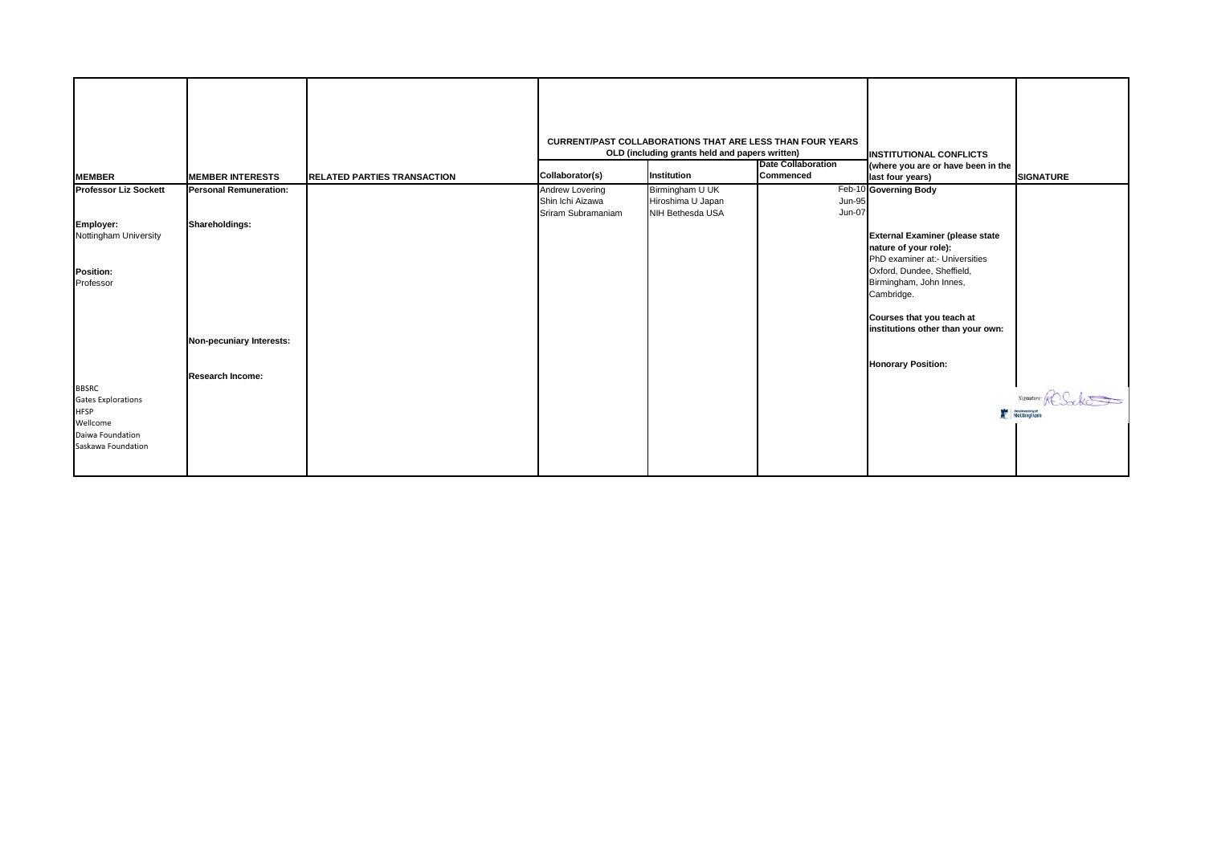|                                          |                               |                                    |                    | <b>CURRENT/PAST COLLABORATIONS THAT ARE LESS THAN FOUR YEARS</b> |                           |                                                                                                   |                  |
|------------------------------------------|-------------------------------|------------------------------------|--------------------|------------------------------------------------------------------|---------------------------|---------------------------------------------------------------------------------------------------|------------------|
|                                          |                               |                                    |                    | OLD (including grants held and papers written)                   | <b>Date Collaboration</b> | <b>INSTITUTIONAL CONFLICTS</b><br>(where you are or have been in the                              |                  |
| <b>MEMBER</b>                            | <b>MEMBER INTERESTS</b>       | <b>RELATED PARTIES TRANSACTION</b> | Collaborator(s)    | Institution                                                      | Commenced                 | last four years)                                                                                  | <b>SIGNATURE</b> |
| <b>Professor Liz Sockett</b>             | <b>Personal Remuneration:</b> |                                    | Andrew Lovering    | Birmingham U UK                                                  |                           | Feb-10 Governing Body                                                                             |                  |
|                                          |                               |                                    | Shin Ichi Aizawa   | Hiroshima U Japan                                                | <b>Jun-95</b>             |                                                                                                   |                  |
|                                          |                               |                                    | Sriram Subramaniam | <b>NIH Bethesda USA</b>                                          | $Jun-07$                  |                                                                                                   |                  |
| Employer:<br>Nottingham University       | Shareholdings:                |                                    |                    |                                                                  |                           | <b>External Examiner (please state</b><br>nature of your role):<br>PhD examiner at:- Universities |                  |
| <b>Position:</b><br>Professor            |                               |                                    |                    |                                                                  |                           | Oxford, Dundee, Sheffield,<br>Birmingham, John Innes,<br>Cambridge.                               |                  |
|                                          |                               |                                    |                    |                                                                  |                           | Courses that you teach at<br>institutions other than your own:                                    |                  |
|                                          | Non-pecuniary Interests:      |                                    |                    |                                                                  |                           | <b>Honorary Position:</b>                                                                         |                  |
|                                          | <b>Research Income:</b>       |                                    |                    |                                                                  |                           |                                                                                                   |                  |
| <b>BBSRC</b>                             |                               |                                    |                    |                                                                  |                           |                                                                                                   |                  |
| <b>Gates Explorations</b><br><b>HFSP</b> |                               |                                    |                    |                                                                  |                           |                                                                                                   | Signature RCSxko |
| Wellcome                                 |                               |                                    |                    |                                                                  |                           |                                                                                                   |                  |
| Daiwa Foundation                         |                               |                                    |                    |                                                                  |                           |                                                                                                   |                  |
| Saskawa Foundation                       |                               |                                    |                    |                                                                  |                           |                                                                                                   |                  |